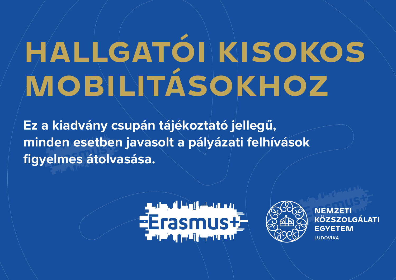# **HALLGATÓI KISOKOS MOBILITÁSOKHOZ**

**Ez a kiadvány csupán tájékoztató jellegű, minden esetben javasolt a pályázati felhívások figyelmes átolvasása.**



**NEMZETI** KÖZSZOLGÁLATI **EGYETEM I UDOVIKA**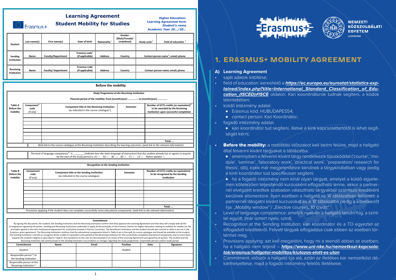### **Learning Agreement Student Mobility for Studies**

Frasmus+

**Higher Education: Learning Agreement form** *Student's name Academic Year 20…/20…*

| Student                  | Last name(s) | First name(s)             | Date of birth                                | Nationality $1$ | Gender:<br>[Male/Female/<br><b>Undefined1</b> | Study cycle <sup>2</sup> | Field of education $3$                          |
|--------------------------|--------------|---------------------------|----------------------------------------------|-----------------|-----------------------------------------------|--------------------------|-------------------------------------------------|
| Sending<br>Institution   | Name         | <b>Faculty/Department</b> | Erasmus code <sup>4</sup><br>(if applicable) | <b>Address</b>  | Country                                       |                          | Contact person name <sup>5</sup> ; email; phone |
| Receiving<br>Institution | Name         | <b>Faculty/Department</b> | Erasmus code<br>(if applicable)              | <b>Address</b>  | Country                                       |                          | Contact person name; email; phone               |

|                                                                                                                                        |                                                                    | <b>Before the mobility</b>                                                                                                                                             |                                                     |                                                                                                                                 |  |  |  |  |  |
|----------------------------------------------------------------------------------------------------------------------------------------|--------------------------------------------------------------------|------------------------------------------------------------------------------------------------------------------------------------------------------------------------|-----------------------------------------------------|---------------------------------------------------------------------------------------------------------------------------------|--|--|--|--|--|
|                                                                                                                                        |                                                                    |                                                                                                                                                                        | <b>Study Programme at the Receiving Institution</b> |                                                                                                                                 |  |  |  |  |  |
|                                                                                                                                        | Planned period of the mobility: from [month/year]  to [month/year] |                                                                                                                                                                        |                                                     |                                                                                                                                 |  |  |  |  |  |
| <b>Table A</b><br><b>Before the</b><br>mobility                                                                                        | Component <sup>6</sup><br>code<br>(if any)                         | Component title at the Receiving Institution<br>Semester<br>(as indicated in the course catalogue <sup>7</sup> )                                                       |                                                     | Number of ECTS credits (or equivalent) <sup>8</sup><br>to be awarded by the Receiving<br>Institution upon successful completion |  |  |  |  |  |
|                                                                                                                                        |                                                                    |                                                                                                                                                                        |                                                     |                                                                                                                                 |  |  |  |  |  |
|                                                                                                                                        |                                                                    |                                                                                                                                                                        |                                                     |                                                                                                                                 |  |  |  |  |  |
|                                                                                                                                        |                                                                    |                                                                                                                                                                        |                                                     | Total:                                                                                                                          |  |  |  |  |  |
| Web link to the course catalogue at the Receiving Institution describing the learning outcomes: [web link to the relevant information] |                                                                    |                                                                                                                                                                        |                                                     |                                                                                                                                 |  |  |  |  |  |
|                                                                                                                                        |                                                                    | The level of language competence <sup>9</sup> in<br>by the start of the study period is: $A1 \square$ $A2 \square$ $B1 \square$ $B2 \square$ $C1 \square$ $C2 \square$ |                                                     | [indicate here the main language of instruction] that the student already has or agrees to acquire<br>Native speaker $\Box$     |  |  |  |  |  |
|                                                                                                                                        |                                                                    | Recognition at the Sending Institution                                                                                                                                 |                                                     |                                                                                                                                 |  |  |  |  |  |
| <b>Table B</b><br><b>Before the</b><br>mobility                                                                                        | Component<br>code<br>(if any)                                      | Component title at the Sending Institution<br>(as indicated in the course catalogue)                                                                                   | Semester                                            | Number of ECTS credits (or equivalent)<br>to be recognised by the Sending<br>Institution                                        |  |  |  |  |  |
|                                                                                                                                        |                                                                    |                                                                                                                                                                        |                                                     |                                                                                                                                 |  |  |  |  |  |

**Total: …** Provisions applying if the student does not complete successfully some educational components: *[web link to the relevant information]*

#### *Commitment*

By signing this document, the student, the Sending Institution and the Receiving Institution confirm that they approve the Learning Agreement and that they will comply with all the arrangements agreed by all parties. Sending and Receiving Institutions undertake to apply all the principles of the Erasmus Charter for Higher Education relating to mobility for studies (or the principles agreed in the Inter-Institutional Agreement for institutions located in Partner Countries). The Beneficiary Institution and the student should also commit to what is set out in the Erasmus+ grant agreement. The Receiving Institution confirms that the educational components listed in Table A are in line with its course catalogue and should be available to the student. The Sending Institution commits to recognise all the credits or equivalent units gained at the Receiving Institution for the successfully completed educational components and to count them towards the student's degree as described in Table B. Any exceptions to this rule are documented in an annex of this Learning Agreement and agreed by all parties. The student and the Receiving Institution will communicate to the Sending Institution any problems or changes regarding the study programme, responsible persons and/or study period.

| meeting matterion and communicate to the benang matterion any problems or enanges regarang the staay programme, responsive persons any or staay periodi<br>Email<br>Position<br>Commitment<br>Signature<br>Name<br>Date |  |  |                |  |  |
|-------------------------------------------------------------------------------------------------------------------------------------------------------------------------------------------------------------------------|--|--|----------------|--|--|
|                                                                                                                                                                                                                         |  |  |                |  |  |
| Student                                                                                                                                                                                                                 |  |  | <b>Student</b> |  |  |
| Responsible person <sup>10</sup> at<br>the Sending Institution                                                                                                                                                          |  |  |                |  |  |
| Responsible person at the<br>Receiving Institution <sup>11</sup>                                                                                                                                                        |  |  |                |  |  |





## **1. ERASMUS+ MOBILITY AGREEMENT**

#### **A) Learning Agreement**

- saját adatok kitöltése;
- field of education: kereshető a **[https://ec.europa.eu/eurostat/statistics-exp](https://ec.europa.eu/eurostat/statistics-explained/index.php?title=International_Standard_Classification_of_Education_(ISCED)#ISCE)[lained/index.php?title=International\\_Standard\\_Classification\\_of\\_Edu](https://ec.europa.eu/eurostat/statistics-explained/index.php?title=International_Standard_Classification_of_Education_(ISCED)#ISCE)[cation\\_\(ISCED\)#ISCE](https://ec.europa.eu/eurostat/statistics-explained/index.php?title=International_Standard_Classification_of_Education_(ISCED)#ISCE)** oldalon. Kari koordinátorok tudnak segíteni, a kódok tekintetében;
- küldő intézmény adatai:
	- ♦ Erasmus kód: HUBUDAPES54;
	- ♦ contact person: Kari Koordinátor;
- fogadó intézmény adatai:
	- ♦ kari koordinátor tud segíteni, illetve a kinti kapcsolattartótól is lehet segítséget kérni;
- **Before the mobility:** a mobilitási időszakot kell beírni felülre, majd a hallgató által felvenni kívánt tárgyakat a táblázatba.
	- $\bullet$  amennyiben a felvenni kívánt tárgy rendelkezik típuskóddal ('course', 'module', 'seminar', 'laboratory work', 'practical work', 'preparation/ research for thesis', stb), ezek már megjelenítésre kerülnek a tárgykínálatban vagy pedig a kinti koordinátor tud specifikusan segíteni.
	- $\bullet$  ha a fogadó intézmény nem kínál olyan tárgyat, amelyet a küldő egyetemen kötelezően teljesítendő kurzusként elfogadható lenne, akkor a partnernél elvégzett kreditek szabadon választható tárgyakból származó kreditként kerülnek elismerésre. Ilyen esetben a hallgató az 'A' táblázatban feltünteti a partnernél látogatni kívánt kurzusokat és a 'B' táblázatba pedig a következőt írja: "Mobility window"  $/$  "Elective courses, 10 credit".
- Level of language competence: amelyik nyelven a hallgató tanulni fog, a szinttel együtt, (már ismert nyelv, szint);
- Recognition at the Sending Institution: kari koordinátor és a TO egyeztet az elfogadott kreditekről. Felvett tárgyak elfogadása csak ebben az esetben történhet meg.
- $\Diamond$ Provisions applying: azt kell $\Diamond$ megielölni, hogy mi a teendő abban az esetben, ha a hallgató nem teljesít – **[https://www.uni-nke.hu/nemzetkozi-kapcsola](https://www.uni-nke.hu/nemzetkozi-kapcsolatok/erasmus/hallgatoi-mobilitas/kiutazas-elott-es-utan)[tok/erasmus/hallgatoi-mobilitas/kiutazas-elott-es-utan](https://www.uni-nke.hu/nemzetkozi-kapcsolatok/erasmus/hallgatoi-mobilitas/kiutazas-elott-es-utan)**
- Commitment: először a hallgató írja alá, aztán az illetékes kar nemzetközi dékánhelyettese, majd a fogadó intézmény felelős illetékese;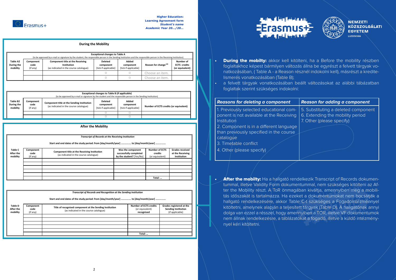

**Δft** 

#### **Higher Education: Learning Agreement form** *Student's name Academic Year 20…/20…*

**Total: …**

#### **During the Mobility**

| <b>Exceptional changes to Table A</b><br>(to be approved by e-mail or signature by the student, the responsible person in the Sending Institution and the responsible person in the Receiving Institution) |                               |                                                                                                  |                                                     |                                            |                                 |                                                     |  |
|------------------------------------------------------------------------------------------------------------------------------------------------------------------------------------------------------------|-------------------------------|--------------------------------------------------------------------------------------------------|-----------------------------------------------------|--------------------------------------------|---------------------------------|-----------------------------------------------------|--|
| <b>Table A2</b><br>During the<br>mobility                                                                                                                                                                  | Component<br>code<br>(if any) | <b>Component title at the Receiving</b><br>Institution<br>(as indicated in the course catalogue) | <b>Deleted</b><br>component<br>[tick if applicable] | Added<br>component<br>[tick if applicable] | Reason for change <sup>12</sup> | Number of<br><b>ECTS</b> credits<br>(or equivalent) |  |
|                                                                                                                                                                                                            |                               |                                                                                                  |                                                     |                                            | Choose an item.                 |                                                     |  |
|                                                                                                                                                                                                            |                               |                                                                                                  |                                                     |                                            | Choose an item.                 |                                                     |  |

|                                    | Exceptional changes to Table B (if applicable)<br>(to be approved by e-mail or signature by the student and the responsible person in the Sending Institution) |                                                                                                                       |  |                                                     |                                            |                                        |  |
|------------------------------------|----------------------------------------------------------------------------------------------------------------------------------------------------------------|-----------------------------------------------------------------------------------------------------------------------|--|-----------------------------------------------------|--------------------------------------------|----------------------------------------|--|
| Table B2<br>During the<br>mobility |                                                                                                                                                                | Component<br>Component title at the Sending Institution<br>code<br>(as indicated in the course catalogue)<br>(if any) |  | <b>Deleted</b><br>component<br>[tick if applicable] | Added<br>component<br>[tick if applicable] | Number of ECTS credits (or equivalent) |  |
|                                    |                                                                                                                                                                |                                                                                                                       |  |                                                     |                                            |                                        |  |
|                                    |                                                                                                                                                                |                                                                                                                       |  |                                                     |                                            |                                        |  |

|                                         |                               | <b>After the Mobility</b>                                                              |                                                                         |                                                     |                                                           |
|-----------------------------------------|-------------------------------|----------------------------------------------------------------------------------------|-------------------------------------------------------------------------|-----------------------------------------------------|-----------------------------------------------------------|
|                                         |                               |                                                                                        |                                                                         |                                                     |                                                           |
|                                         |                               | <b>Transcript of Records at the Receiving Institution</b>                              |                                                                         |                                                     |                                                           |
|                                         |                               | Start and end dates of the study period: from [day/month/year]  to [day/month/year]    |                                                                         |                                                     |                                                           |
| <b>Table C</b><br>After the<br>mobility | Component<br>code<br>(if any) | Component title at the Receiving Institution<br>(as indicated in the course catalogue) | Was the component<br>successfully completed<br>by the student? [Yes/No] | <b>Number of ECTS</b><br>credits<br>(or equivalent) | <b>Grades received</b><br>at the Receiving<br>Institution |
|                                         |                               |                                                                                        |                                                                         |                                                     |                                                           |
|                                         |                               |                                                                                        |                                                                         |                                                     |                                                           |
|                                         |                               |                                                                                        |                                                                         |                                                     |                                                           |

*Transcript of Records and Recognition at the Sending Institution*

**Start and end dates of the study period: from [day/month/year] ……………. to [day/month/year] …………….**

| <b>Table D</b><br>After the<br>mobility | Component<br>code<br>(if any) | Title of recognised component at the Sending Institution<br>(as indicated in the course catalogue) | <b>Number of ECTS credits</b><br>(or equivalent)<br>recognised | Grades registered at the<br><b>Sending Institution</b><br>(if applicable) |
|-----------------------------------------|-------------------------------|----------------------------------------------------------------------------------------------------|----------------------------------------------------------------|---------------------------------------------------------------------------|
|                                         |                               |                                                                                                    |                                                                |                                                                           |
|                                         |                               |                                                                                                    |                                                                |                                                                           |
|                                         |                               |                                                                                                    |                                                                |                                                                           |
|                                         |                               |                                                                                                    | Total:                                                         |                                                                           |





- **During the mobilty:** akkor kell kitölteni, ha a Before the mobility részben foglaltakhoz képest bármilyen változás állna be egyrészt a felvett tárgyak vonatkozásában, ( Table A - a Reason résznél indokolni kell), másrészt a kreditelismerés vonatkozásában (Table B);
- a felvett tárgyak vonatkozásában beállt változásokat az alábbi tábázatban foglaltak szerint szükséges indokolni:

| <b>Reasons for deleting a component</b>  | <b>Reason for adding a component</b> |
|------------------------------------------|--------------------------------------|
| 1. Previously selected educational com-  | 5. Substituting a deleted component  |
| ponent is not available at the Receiving | 6. Extending the mobility period     |
| Institution                              | 7. Other (please specify)            |
| 2. Component is in a different language  |                                      |
| than previously specified in the course  |                                      |
| catalogue                                |                                      |
| 3. Timetable conflict                    |                                      |
| 4. Other (please specify)                |                                      |
|                                          |                                      |

**After the mobilty:** Ha a hallgató rendelkezik Transcript of Records dokumentummal, illetve Validity Form dokumentummal, nem szükséges kitölteni az After the Mobility részt. A/ToR önmagában kiváltja, amennyiben még a mobilitás időszakát is tartalmazza. Ha ezeket a dokumentumokat nem bocsátják a hallgató rendelkezésére, akkor Table C-t szükséges a Fogadóintézménnyel kitöltetni, amelynek alapján a teljesített tárgyak (Table D). A hallgatónak annyi dolga van ezzel a résszel, hogy amennyiben a TOR, illetve VF dokumentumok nem állnak rendelkezésre, a táblázatokat a fogadó, illetve a küldő intézménynyel kéri kitöltetni.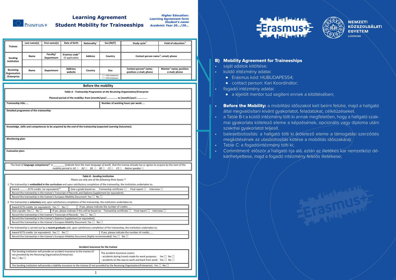

## **Learning Agreement**

**Higher Education: Learning Agreement form** *Student's name Academic Year 20…/20…* **Student Mobility for Traineeships**

|                | Last name(s) | First name(s) | Date of birth             | Nationality <sup>1</sup> | Sex [M/F]              | Study cycle <sup>2</sup>                        | Field of education <sup>3</sup>     |
|----------------|--------------|---------------|---------------------------|--------------------------|------------------------|-------------------------------------------------|-------------------------------------|
| <b>Trainee</b> |              |               |                           |                          |                        |                                                 |                                     |
|                |              |               |                           |                          |                        |                                                 |                                     |
|                | Name         | Faculty/      | Erasmus code <sup>4</sup> | <b>Address</b>           | Country                | Contact person name <sup>5</sup> ; email; phone |                                     |
| Sending        |              | Department    | (if applicable)           |                          |                        |                                                 |                                     |
| Institution    |              |               |                           |                          |                        |                                                 |                                     |
|                |              |               |                           |                          |                        |                                                 |                                     |
| Receiving      |              |               | Address;                  |                          |                        | Contact person <sup>6</sup> name;               | Mentor <sup>7</sup> name; position; |
| Organisation   | Name         | Department    | website                   | Country                  | Size                   | position; e-mail; phone                         | e-mail; phone                       |
| /Enterprise    |              |               |                           |                          | $\Box$ < 250 employees |                                                 |                                     |
|                |              |               |                           |                          | $\Box$ > 250 employees |                                                 |                                     |

| <b>Before the mobility</b>                                                                                                                                                            |                                                                                                                                                                                     |  |  |  |  |
|---------------------------------------------------------------------------------------------------------------------------------------------------------------------------------------|-------------------------------------------------------------------------------------------------------------------------------------------------------------------------------------|--|--|--|--|
| Table A - Traineeship Programme at the Receiving Organisation/Enterprise                                                                                                              |                                                                                                                                                                                     |  |  |  |  |
| Planned period of the mobility: from [month/year]  to [month/year]                                                                                                                    |                                                                                                                                                                                     |  |  |  |  |
| Traineeship title:                                                                                                                                                                    | Number of working hours per week:                                                                                                                                                   |  |  |  |  |
|                                                                                                                                                                                       |                                                                                                                                                                                     |  |  |  |  |
| Detailed programme of the traineeship:                                                                                                                                                |                                                                                                                                                                                     |  |  |  |  |
|                                                                                                                                                                                       |                                                                                                                                                                                     |  |  |  |  |
| Knowledge, skills and competences to be acquired by the end of the traineeship (expected Learning Outcomes):                                                                          |                                                                                                                                                                                     |  |  |  |  |
|                                                                                                                                                                                       |                                                                                                                                                                                     |  |  |  |  |
|                                                                                                                                                                                       |                                                                                                                                                                                     |  |  |  |  |
| Monitoring plan:                                                                                                                                                                      |                                                                                                                                                                                     |  |  |  |  |
|                                                                                                                                                                                       |                                                                                                                                                                                     |  |  |  |  |
| <b>Evaluation plan:</b>                                                                                                                                                               |                                                                                                                                                                                     |  |  |  |  |
|                                                                                                                                                                                       |                                                                                                                                                                                     |  |  |  |  |
|                                                                                                                                                                                       |                                                                                                                                                                                     |  |  |  |  |
|                                                                                                                                                                                       |                                                                                                                                                                                     |  |  |  |  |
| The level of language competence <sup>8</sup> in<br>mobility period is: $A1 \square$ $A2 \square$ $B1 \square$ $B2 \square$ $C1 \square$ $C2 \square$ Native speaker $\square$        | [indicate here the main language of work] that the trainee already has or agrees to acquire by the start of the                                                                     |  |  |  |  |
|                                                                                                                                                                                       |                                                                                                                                                                                     |  |  |  |  |
| <b>Table B - Sending Institution</b><br>Please use only one of the following three boxes: 9                                                                                           |                                                                                                                                                                                     |  |  |  |  |
| 1. The traineeship is embedded in the curriculum and upon satisfactory completion of the traineeship, the institution undertakes to:                                                  |                                                                                                                                                                                     |  |  |  |  |
| Award   ECTS credits (or equivalent) <sup>10</sup><br>Give a grade based on: Traineeship certificate $\square$                                                                        | Final report $\square$<br>Interview $\square$                                                                                                                                       |  |  |  |  |
| Record the traineeship in the trainee's Transcript of Records and Diploma Supplement (or equivalent).                                                                                 |                                                                                                                                                                                     |  |  |  |  |
| Record the traineeship in the trainee's Europass Mobility Document: Yes $\square$ No $\square$                                                                                        |                                                                                                                                                                                     |  |  |  |  |
| 2. The traineeship is voluntary and, upon satisfactory completion of the traineeship, the institution undertakes to:                                                                  |                                                                                                                                                                                     |  |  |  |  |
| Award ECTS credits (or equivalent): Yes □ No □<br>Give a grade: Yes $\square$ No $\square$                                                                                            | If yes, please indicate the number of credits:<br>If yes, please indicate if this will be based on: Traineeship certificate $\square$ Final report $\square$<br>Interview $\square$ |  |  |  |  |
| Record the traineeship in the trainee's Transcript of Records: Yes $\square$ No $\square$                                                                                             |                                                                                                                                                                                     |  |  |  |  |
| Record the traineeship in the trainee's Diploma Supplement (or equivalent).                                                                                                           |                                                                                                                                                                                     |  |  |  |  |
| Record the traineeship in the trainee's Europass Mobility Document: Yes $\Box$ No $\Box$                                                                                              |                                                                                                                                                                                     |  |  |  |  |
| 3. The traineeship is carried out by a recent graduate and, upon satisfactory completion of the traineeship, the institution undertakes to:                                           |                                                                                                                                                                                     |  |  |  |  |
| Award ECTS credits (or equivalent): Yes $\square$ No $\square$<br>Record the traineeship in the trainee's Europass Mobility Document (highly recommended): Yes $\square$ No $\square$ | If yes, please indicate the number of credits:                                                                                                                                      |  |  |  |  |

#### **Accident insurance for the trainee**

| The Sending Institution will provide an accident insurance to the trainee (if                                                                              | The accident insurance covers:                                                |  |
|------------------------------------------------------------------------------------------------------------------------------------------------------------|-------------------------------------------------------------------------------|--|
| not provided by the Receiving Organisation/Enterprise):                                                                                                    | - accidents during travels made for work purposes: Yes $\square$ No $\square$ |  |
| Yes $\square$ No $\square$                                                                                                                                 | - accidents on the way to work and back from work: Yes $\square$ No $\square$ |  |
| The Sending Institution will provide a liability insurance to the trainee (if not provided by the Receiving Organisation/Enterprise): Yes $\Box$ No $\Box$ |                                                                               |  |

1





#### B) Mobility Agreement for Traineeships

- saját adatok kitöltése;
- küldő intézmény adatai:
	- ♦ Erasmus kód: HUBUDAPES54;
	- ♦ contact person: Kari Koordinátor;
- fogadó intézmény adatai:
	- ♦ a kijelölt mentor tud segíteni ennek a kitöltésében;
- **Before the Mobility:** a mobilitási időszakot kell beírni felülre, majd a hallgató által megvalósítani kívánt gyakorlatot, feladatokat, célkitűzéseket.
- a Table B-t a küldő intézmény tölti ki annak megfelelően, hogy a hallgató szakmai gyakorlata kötelező eleme a képzésének, opcionális vagy diploma utáni szakmai gyakorlatot teljesít.
- balesetbiztosítás: a hallgató tölti ki (kötelező eleme a támogatási szerződés megkötésének az utasbiztosítás kötése a mobilitás időszakára);
- Table C: a fogadóintézmény tölti ki;
- Commitment: először a hallgató írja alá, aztán az illetékes kar nemzetközi dékánhelyettese, majd a fogadó intézmény felelős illetékese;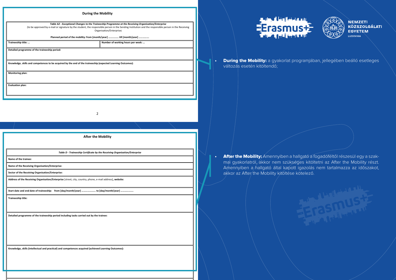#### **During the Mobility**

| Table A2 - Exceptional Changes to the Traineeship Programme at the Receiving Organisation/Enterprise<br>(to be approved by e-mail or signature by the student, the responsible person in the Sending Institution and the responsible person in the Receiving<br>Organisation/Enterprise) |                                                                                                              |  |  |
|------------------------------------------------------------------------------------------------------------------------------------------------------------------------------------------------------------------------------------------------------------------------------------------|--------------------------------------------------------------------------------------------------------------|--|--|
|                                                                                                                                                                                                                                                                                          | Planned period of the mobility: from [month/year]  till [month/year]                                         |  |  |
| Traineeship title:<br>Number of working hours per week:                                                                                                                                                                                                                                  |                                                                                                              |  |  |
| Detailed programme of the traineeship period:                                                                                                                                                                                                                                            |                                                                                                              |  |  |
|                                                                                                                                                                                                                                                                                          | Knowledge, skills and competences to be acquired by the end of the traineeship (expected Learning Outcomes): |  |  |
| <b>Monitoring plan:</b>                                                                                                                                                                                                                                                                  |                                                                                                              |  |  |
| <b>Evaluation plan:</b>                                                                                                                                                                                                                                                                  |                                                                                                              |  |  |

2

**After the Mobility** *Table D - Traineeship Certificate by the Receiving Organisation/Enterprise* **Name of the trainee: Name of the Receiving Organisation/Enterprise: Sector of the Receiving Organisation/Enterprise: Address of the Receiving Organisation/Enterprise** [street, city, country, phone, e-mail address]**, website: Start date and end date of traineeship: from [day/month/year] …………………. to [day/month/year] ……………….. Traineeship title: Detailed programme of the traineeship period including tasks carried out by the trainee: Knowledge, skills (intellectual and practical) and competences acquired (achieved Learning Outcomes):**





**During the Mobility:** a gyakorlat programjában, jellegében beálló esetleges változás esetén kitöltendő;

• After the Mobility: Amennyiben a hallgató a fogadóféltől részesül egy a szakmai gyakorlatról, akkor nem szükséges kitöltetni az After the Mobility részt. Amennyiben a hallgató által kapott igazolás nem tartalmazza az időszakot, akkor az After the Mobility kitöltése kötelező.

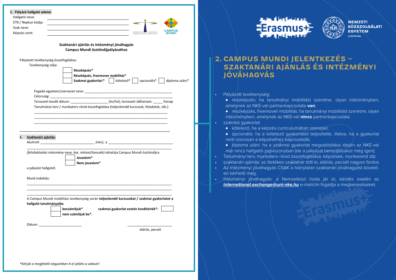|  | 1. Pályázó hallgató adatai: |  |  |  |
|--|-----------------------------|--|--|--|
|--|-----------------------------|--|--|--|

| Hallgató neve:      |  |                      |               |
|---------------------|--|----------------------|---------------|
| ETR / Neptun kódja: |  |                      |               |
| Szak neve:          |  |                      | <b>CAMPUS</b> |
| Képzési szint:      |  | TEMPUS KÖZALAPÍTVÁNY | <b>MUNDI</b>  |

#### **Szaktanári ajánlás és intézményi jóváhagyás Campus Mundi ösztöndíjpályázathoz**

Pályázott tevékenység összefoglalása:

Tevékenység célja:

| Részképzés*                      |                                              |
|----------------------------------|----------------------------------------------|
| Részképzés, freemover mobilitás* |                                              |
| Szakmai gyakorlat:*              | opcionális*<br>kötelező* l<br>diploma utáni* |

Fogadó egyetem/szervezet neve: \_\_\_\_\_\_\_\_\_\_\_\_\_\_\_\_\_\_\_\_\_\_\_\_\_\_\_\_\_\_\_\_\_\_\_\_\_\_\_\_\_\_\_\_\_\_\_ Célország:

Tervezett kezdő dátum: \_\_\_\_\_\_\_\_\_\_\_\_\_\_\_\_\_\_\_\_ (év/hó); tervezett időtartam: \_\_\_\_\_ hónap Tanulmányi terv / munkaterv rövid összefoglalása (teljesítendő kurzusok, feladatok, stb.): \_\_\_\_\_\_\_\_\_\_\_\_\_\_\_\_\_\_\_\_\_\_\_\_\_\_\_\_\_\_\_\_\_\_\_\_\_\_\_\_\_\_\_\_\_\_\_\_\_\_\_\_\_\_\_\_\_\_\_\_\_\_\_\_\_\_\_\_\_\_\_\_

\_\_\_\_\_\_\_\_\_\_\_\_\_\_\_\_\_\_\_\_\_\_\_\_\_\_\_\_\_\_\_\_\_\_\_\_\_\_\_\_\_\_\_\_\_\_\_\_\_\_\_\_\_\_\_\_\_\_\_\_\_\_\_\_\_\_\_\_\_\_\_\_ \_\_\_\_\_\_\_\_\_\_\_\_\_\_\_\_\_\_\_\_\_\_\_\_\_\_\_\_\_\_\_\_\_\_\_\_\_\_\_\_\_\_\_\_\_\_\_\_\_\_\_\_\_\_\_\_\_\_\_\_\_\_\_\_\_\_\_\_\_\_\_\_

| Szaktanári ajánlás: |
|---------------------|
|---------------------|

Alulírott \_\_\_\_\_\_\_\_\_\_\_\_\_\_\_\_\_\_\_\_\_\_\_\_\_\_\_\_\_ *(név)*, a \_\_\_\_\_\_\_\_\_\_\_\_\_\_\_\_\_\_\_\_\_\_\_\_\_\_\_\_\_\_\_\_\_\_\_

*(felsőoktatási intézmény neve, kar, intézet/tanszék)* oktatója Campus Mundi ösztöndíjra

\_\_\_\_\_\_\_\_\_\_\_\_\_\_\_\_\_\_\_\_\_\_\_\_\_\_\_\_\_\_\_\_\_\_\_\_\_\_\_\_\_\_\_\_\_\_\_\_\_\_\_\_\_\_\_\_\_\_\_\_\_\_\_\_\_\_\_\_\_\_\_\_\_\_\_\_\_\_

~~~~~~~~~~~~~~~~~~~~~~~~~~~~~~~~~~~~~~~~~~~~~~~~~~~~~~~~~~~~~~~~~~~~~~~~~~~~~~~~~

| Javaslom*     |
|---------------|
| Nem javaslom* |

a pályázó hallgatót.

Rövid indoklás:

\_\_\_\_\_\_\_\_\_\_\_\_\_\_\_\_\_\_\_\_\_\_\_\_\_\_\_\_\_\_\_\_\_\_\_\_\_\_\_\_\_\_\_\_\_\_\_\_\_\_\_\_\_\_\_\_\_\_\_\_\_\_\_\_\_\_\_\_\_\_\_\_\_\_\_\_\_\_ A Campus Mundi mobilitási tevékenység során **teljesítendő kurzusokat / szakmai gyakorlatot a hallgató tanulmányaiba**

\_\_\_\_\_\_\_\_\_\_\_\_\_\_\_\_\_\_\_\_\_\_\_\_\_\_\_\_\_\_\_\_\_\_\_\_\_\_\_\_\_\_\_\_\_\_\_\_\_\_\_\_\_\_\_\_\_\_\_\_\_\_\_\_\_\_\_\_\_\_\_\_\_\_\_\_\_\_ \_\_\_\_\_\_\_\_\_\_\_\_\_\_\_\_\_\_\_\_\_\_\_\_\_\_\_\_\_\_\_\_\_\_\_\_\_\_\_\_\_\_\_\_\_\_\_\_\_\_\_\_\_\_\_\_\_\_\_\_\_\_\_\_\_\_\_\_\_\_\_\_\_\_\_\_\_\_

> **beszámítjuk\* szakmai gyakorlat esetén kreditérték\*: nem számítjuk be\*.**

Dátum: \_\_\_\_\_\_\_\_\_\_\_\_\_\_\_\_\_\_\_\_\_\_\_ \_\_\_\_\_\_\_\_\_\_\_\_\_\_\_\_\_\_\_\_\_\_\_\_

aláírás, pecsét





## **2. CAMPUS MUNDI JELENTKEZÉS – SZAKTANÁRI AJÁNLÁS ÉS INTÉZMÉNYI JÓVÁHAGYÁS**

- Pályázott tevékenység:
	- ♦ részképzés: ha tanulmányi mobilitást szeretne, olyan intézményben, amelynek az NKE-vel partnerkapcsolata **van**;
	- ♦ részképzés, freemover mobilitás: ha tanulmányi mobilitást szeretne, olyan intézményben, amelynek az NKE-vel **nincs** partnerkapcsolata.
- szakmai gyakorlat:
	- ♦ kötelező, ha a képzés curriculumában szerepel;
	- ♦ opcionális: ha a kötelező gyakorlatot teljesítette, illetve, ha a gyakorlat nem szorosan a képzéséhez kapcsolódik;
	- ♦ diploma utáni: ha a szakmai gyakorlat megvalósítása idején az NKE-vel már nincs hallgatói jogviszonyban (de a pályázat benyújtásakor még igen).
- Tanulmányi terv, munkaterv rövid összefoglalása: képzések, munkarend stb.
- szaktanári ajánlás: az illetékes szaktanár tölti ki, aláírás, pecsét nagyon fontos
- Az Intézményi jóváhagyás CSAK a hiánytalan szaktanári jóváhagyást követően kérhető meg.

• Intézményi jóváhagyás: a Nemzetközi Iroda jár el, kérdés esetén az **[international.exchange@uni-nke.hu](http://international.exchange@uni-nke.hu)** e-mailcím fogadja a megkereséseket.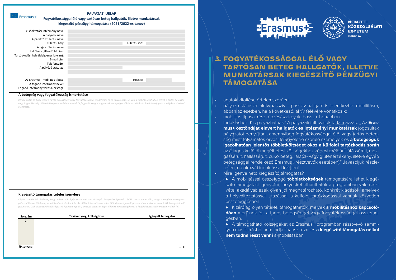| <b>Exercise</b> Erasmus+ |
|--------------------------|
|                          |
|                          |

#### **PÁLYÁZATI ŰRLAP Fogyatékossággal élő vagy tartósan beteg hallgatók, illetve munkatársak kiegészítő pénzügyi támogatása (2021/2022-es tanév)**

| Felsőoktatási intézmény neve:          |                |  |
|----------------------------------------|----------------|--|
| A pályázó neve:                        |                |  |
| A pályázó születési neve:              |                |  |
| Születési hely:                        | Születési idő: |  |
| Anyja születési neve:                  |                |  |
| Lakóhely (állandó lakcím):             |                |  |
| Tartózkodási hely (ideiglenes lakcím): |                |  |
| E-mail cím:                            |                |  |
| Telefonszám:                           |                |  |
| A pályázó státusza:                    |                |  |
|                                        |                |  |
|                                        |                |  |
| Az Erasmus+ mobilitás típusa:          | Hossza:        |  |
| A fogadó intézmény neve:               |                |  |
| Fogadó intézmény városa, országa:      |                |  |

#### **A betegség vagy fogyatékosság ismertetése**

Kérjük, fejtse ki, hogy milyen tartós betegséggel vagy fogyatékossággal rendelkezik és ez milyen hatással van a mobilitásáral Miért jelent a tartós betegség vagy fogyatékosság többletköltséget a mobilitás során? (A fogyatékosságot vagy tartós betegséget alátámasztó kórtörténeti összefoglaló a pályázat kötelező *melléklete.)*

#### **Kiegészítő támogatás tételes igénylése**

Kérjük, sorolja fel tételesen, hogy milyen költségtípusokra mekkora összegű támogatást igényel. Kérjük, tartsa szem előtt, hogy a megítélt támogatás felhasználásáról tételesen, számlákkal kell elszámolnia. Az alábbi táblázatban a teljes időtartamra igényelt (összes hónapra/napra számított) összegeket kell *feltüntetni. Csak olyan többletköltségekre kérjen támogatást, amelyek szorosan kapcsolódnak a betegségéhez és a külföldi tartózkodás miatt merülnek fel!*

| Sorszám   | Tevékenység, költségtípus | Igényelt támogatás            |
|-----------|---------------------------|-------------------------------|
| 1.        |                           |                               |
|           |                           |                               |
|           |                           |                               |
|           |                           |                               |
|           |                           |                               |
|           |                           |                               |
| ÖSSZESEN: |                           | €<br>$\overline{\phantom{a}}$ |
|           |                           |                               |





## **3. FOGYATÉKOSSÁGGAL ÉLŐ VAGY TARTÓSAN BETEG HALLGATÓK, ILLETVE MUNKATÁRSAK KIEGÉSZÍTŐ PÉNZÜGYI TÁMOGATÁSA**

- adatok kitöltése értelemszerűen
- pályázó státusza: aktív/passzív passzív hallgató is jelentkezhet mobilitásra, abban az esetben, ha a következő, aktív félévére vonatkozik;
- mobilitás típusa: részképzés/szakgyak; hossza: hónapban.
- Indokláshoz: Kik pályázhatnak? A pályázati felhívások tartalmazzák: " Az **Erasmus+ ösztöndíjat elnyert hallgatók és intézményi munkatársak** jogosultak pályázatot benyújtani, amennyiben fogyatékossággal élő, vagy tartós betegség miatt folyamatos orvosi felügyeletre szoruló személyek és **a betegségük igazolhatóan jelentős többletköltséget okoz a külföldi tartózkodás során** az átlagos külföldi megélhetési költségekhez képest (például látássérült, mozgássérült, hallássérült, cukorbeteg, laktóz- vagy gluténérzékeny, illetve egyéb betegséggel rendelkező Erasmus+ résztvevők esetében)." Javasoljuk részletesen, ok-okozati indoklással kifejteni.
- Mire igényelhető kiegészítő támogatás?
	- ♦ A mobilitással összefüggő **többletköltségek** támogatására lehet kiegészítő támogatást igényelni, melyekkel elháríthatók a programban való részvétel akadályai: ezek olyan jól meghatározható, konkrét kiadások, amelyek a helyváltoztatással, utazással, a külföldi tartózkodással vannak közvetlen összefüggésben.
	- ♦ Kizárólag olyan tételek támogathatók, melyek **a mobilitáshoz kapcsolódóan** merülnek fel, a tartós betegséggel vagy fogyatékossággal összefüggésben.

♦ A támogatható költségeket az Erasmus+ programban résztvevő semmilyen más forrásból nem tudja finanszírozni és **a kiegészítő támogatás nélkül nem tudna részt venni** a mobilitásban.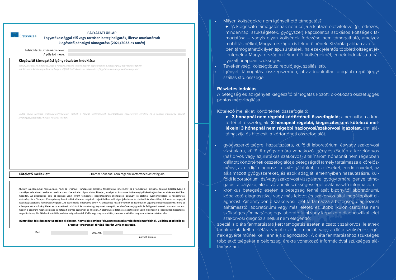#### **PÁLYÁZATI ŰRLAP Fogyatékossággal élő vagy tartósan beteg hallgatók, illetve munkatársak kiegészítő pénzügyi támogatása (2021/2022-es tanév)**

A pályázó neve: Felsőoktatási intézmény neve:

Erasmus+

#### **Kiegészítő támogatási igény részletes indoklása**

*Kérjük, részletesen indokolja, hogy a fentebb felsorolt tételek hogyan kapcsolódnak a betegséghez/ fogyatékossághoz! Indoklásában külön térjen ki arra, hogy a külföldi tartózkodással milyen összefüggésben van az igényelt támogatás!*

Voltak olyan speciális szükségletek/feltételek, melyek a fogadó intézménnyel, koordinátorral egyeztetésre kerültek és a fogadó intézmény azokat *jóváhagyta/elfogadta? Kérjük, fejtse ki röviden!*

Kötelező melléklet:<br>- Három hónapnál nem régebbi kórtörténeti összefoglaló

Alulírott aláírásommal hozzájárulok, hogy az Erasmus+ támogatást biztosító felsőoktatási intézmény és a támogatást biztosító Tempus Közalapítvány a személyes adataimat kezelje. A kezelt adatok köre minden olyan adatra kiterjed, amelyet az Erasmus+ intézményi pályázati eljárásban és dokumentációban megadok. Az adatkezelés célja az igénybe venni kívánt támogatás jogosultságának ellenőrzése, pénzügyi és szakmai nyomonkövetése, a felsőoktatási intézmény és a Tempus Közalapítvány beszámolási kötelezettségeinek teljesítéséhez szükséges jelentések és statisztikák elkészítése; információs anyagok készítése; kutatások, felmérések végzése . Az adatkezelés időtartama 10 év. Az adatokhoz hozzáférhetnek az adatbevitelt végzők; a felsőoktatási intézmény és a Tempus Közalapítvány illetékes munkatársai; a bírálati és monitoring folyamat szereplői; az ellenőrzésre jogosult és felügyeleti szervek; valamint anonim módon a program megvalósulását és hatásait elemző szakértők és kutatók. A személyes adatokat az adatkezelők védik különösen a jogosulatlan hozzáférés, megváltoztatás, illetéktelen továbbítás, nyilvánosságra hozatal, törlés vagy megsemmisítés, valamint a véletlen megsemmisülés és sérülés ellen.

#### **Büntetőjogi felelősségem tudatában kijelentem, hogy a kérelemben feltüntetett adatok a valóságnak megfelelnek. Valótlan adatközlés az Erasmus+ programból történő kizárást vonja maga után.**

Kelt: 2021.08.

pályázó aláírása

- Milyen költségekre nem igényelhető támogatás?
	- ♦ A kiegészítő támogatásnak nem célja a kiutazó életvitelével (pl. étkezés, mindennapi szükségletek, gyógyszer) kapcsolatos szokásos költségek támogatása – vagyis olyan költségek fedezése nem támogatható, amelyek mobilitás nélkül, Magyarországon is felmerülnének. Kizárólag abban az esetben támogathatók ilyen típusú tételek, ha ezek jelentős többletköltséget jelentenek a Magyarországon felmerülő költségeknél, ennek indoklása a pályázati űrlapban szükséges.
- Tevékenység, költségtípus: repülőjegy, szállás, stb.
- Igényelt támogatás: összegszerűen, pl az indokoltan drágább repülőjegy/ szállás stb. összege

#### **Részletes indoklás**

A betegség és az igényelt kiegészítő támogatás közötti ok-okozati összefüggés pontos megvilágítása

#### Kötelező melléklet: kórtörténeti összefoglaló:

- ♦ **3 hónapnál nem régebbi kórtörténeti összefoglaló;** amennyiben a kórtörténeti összefoglaló **3 hónapnál régebbi, kiegészítésként kötelező mellékelni 3 hónapnál nem régebbi háziorvosi/szakorvosi igazolást,** ami alátámasztja és hitelesíti a kórtörténeti összefoglalót.
- gyógyszerköltségre, hazautazásra, külföldi laboratóriumi és/vagy szakorvosi vizsgálatra, külföldi gyógytornára vonatkozó igénylés esetén a kezelőorvos (háziorvos vagy az illetékes szakorvos) által három hónapnál nem régebben kiállított kórtörténeti összefoglalót a betegségről (amely tartalmazza a kórelőzményt, az eddigi diagnosztikus vizsgálatokat, kezeléseket, eredményeket, az alkalmazott gyógyszereket, és azok adagját, amennyiben hazautazásra, külföldi laboratóriumi és/vagy szakorvosi vizsgálatra, gyógytornára igényel támogatást a pályázó, akkor az annak szükségességét alátámasztó információt);
- krónikus betegség esetén a betegség fennállását bizonyító laboratóriumi, képalkotó diagnosztikai vagy más leletet és szakorvos által megállapított diagnózist. Amennyiben a szakorvosi lelet tartalmazza a betegség diagnózisát alátámasztó laboratóriumi vagy más leletet, ez utóbbi külön csatolása nem szükséges. Önmagában egy laboratóriumi vagy képalkotó diagnosztikai lelet szakorvosi diagnózis nélkül nem elegendő;

speciális diéta fenntartására kért támogatás esetén a csatolt szakorvosi leletnek tartalmaznia kell a diétára vonatkozó információt, vagy a diéta szükségességének egyértelműnek kell lennie a diagnózisból. A diéta fenntartásához szükséges többletköltségeket a célországi árakra vonatkozó információval szükséges alátámasztani.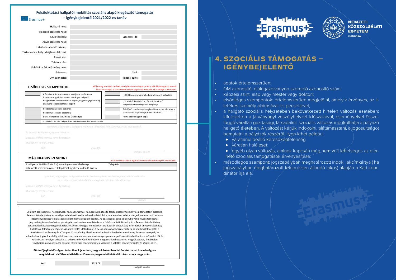**Felsőoktatási hallgatói mobilitás szociális alapú kiegészítő támogatás – igénybejelentő 2021/2022-es tanév** Erasmus+

| Hallgató neve:                         |                |  |
|----------------------------------------|----------------|--|
| Hallgató születési neve:               |                |  |
| Születési hely:                        | Születési idő: |  |
| Anyja születési neve:                  |                |  |
| Lakóhely (állandó lakcím):             |                |  |
| Tartózkodási hely (ideiglenes lakcím): |                |  |
| E-mail cím:                            |                |  |
| Telefonszám:                           |                |  |
| Felsőoktatási intézmény neve:          |                |  |
| Évfolyam:                              | Szak:          |  |
| OM azonosító:                          | Képzési szint: |  |
|                                        |                |  |

|                                        | <b>ELSŐDLEGES SZEMPONTOK</b>                                                                                                   | Jelölje meg az utolsó tanévet, amelyben tanulmányai során az alábbi támogatási formák<br>közül részesül(t)! A szürke cellára lépve legördülő menüből választhatja ki a tanévet! |
|----------------------------------------|--------------------------------------------------------------------------------------------------------------------------------|---------------------------------------------------------------------------------------------------------------------------------------------------------------------------------|
|                                        | A felsőoktatási intézménybe való jelentkezés során<br>hátrányos vagy halmozottan hátrányos helyzetű                            | HÖOK Mentorprogram kedvezményezett hallgatója                                                                                                                                   |
|                                        | hallgatóként többletpontokat kapott, vagy esélyegyenlőség<br>okán járó többletpontokat kapott                                  | "Út a felsőoktatásba" – "Út a diplomához"<br>pályázat kedvezményezett hallgatója                                                                                                |
|                                        | Rendszeres szociális ösztöndíj                                                                                                 | Felsőfokú tanulmányai megkezdésekor szociális alapon                                                                                                                            |
|                                        | Rendkívüli szociális ösztöndíj                                                                                                 | iskolakezdő alaptámogatásban részesült                                                                                                                                          |
|                                        | Bursa Hungarica Tanulmányi Ösztöndíjas                                                                                         | Roma szakkollégium tagja                                                                                                                                                        |
|                                        | a pályázó szociális helyzetében bekövetkezett hirtelen változás                                                                |                                                                                                                                                                                 |
|                                        | Igazolom, hogy a fenti hallgató a megjelölt támogatás kedvezményezettjei közé tartozik.                                        |                                                                                                                                                                                 |
|                                        | Az igazolás kiállítására jogosult szervezet:                                                                                   |                                                                                                                                                                                 |
|                                        | Igazolást kiállító személy neve, beosztása:                                                                                    |                                                                                                                                                                                 |
| Munkahelyi telefon, email:             |                                                                                                                                |                                                                                                                                                                                 |
| Kelt:                                  | 2021.08.                                                                                                                       |                                                                                                                                                                                 |
|                                        |                                                                                                                                | aláírás, pecsét                                                                                                                                                                 |
|                                        | <b>MÁSODLAGOS SZEMPONT</b>                                                                                                     |                                                                                                                                                                                 |
|                                        |                                                                                                                                | A szürke cellára lépve legördülő menüből választhatja ki a települést!                                                                                                          |
|                                        | A hallgató a 105/2015. (IV.23.) Kormányrendelet által meg-<br>határozott kedvezményezett települések egyikének állandó lakosa. | Település:                                                                                                                                                                      |
|                                        |                                                                                                                                |                                                                                                                                                                                 |
|                                        | Igazolom, hogy a fenti hallgató az állandó lakcímet igazoló lakcímkártya másolatát mellékelte                                  |                                                                                                                                                                                 |
|                                        | és a rajta szereplő adat alapján a megjelölt település állandó lakosa.                                                         |                                                                                                                                                                                 |
|                                        | Igazolást kiállító személy neve, beosztása:                                                                                    |                                                                                                                                                                                 |
|                                        |                                                                                                                                |                                                                                                                                                                                 |
|                                        |                                                                                                                                |                                                                                                                                                                                 |
| Munkahelyi telefon, email:<br>$K$ elt: | 2021.08.                                                                                                                       |                                                                                                                                                                                 |

Alulírott aláírásommal hozzájárulok, hogy az Erasmus+ támogatást biztosító felsőoktatási intézmény és a támogatást biztosító Tempus Közalapítvány a személyes adataimat kezelje. A kezelt adatok köre minden olyan adatra kiterjed, amelyet az Erasmus+ intézményi pályázati eljárásban és dokumentációban megadok. Az adatkezelés célja az igénybe venni kívánt támogatás jogosultságának ellenőrzése, pénzügyi és szakmai nyomonkövetése, a felsőoktatási intézmény és a Tempus Közalapítvány beszámolási kötelezettségeinek teljesítéséhez szükséges jelentések és statisztikák elkészítése; információs anyagok készítése; kutatások, felmérések végzése. Az adatkezelés időtartama 10 év. Az adatokhoz hozzáférhetnek az adatbevitelt végzők; a felsőoktatási intézmény és a Tempus Közalapítvány illetékes munkatársai; a bírálati és monitoring folyamat szereplői; az ellenőrzésre jogosult és felügyeleti szervek; valamint anonim módon a program megvalósulását és hatásait elemző szakértők és kutatók. A személyes adatokat az adatkezelők védik különösen a jogosulatlan hozzáférés, megváltoztatás, illetéktelen továbbítás, nyilvánosságra hozatal, törlés vagy megsemmisítés, valamint a véletlen megsemmisülés és sérülés ellen.

**Büntetőjogi felelősségem tudatában kijelentem, hogy a kérelemben feltüntetett adatok a valóságnak megfelelnek. Valótlan adatközlés az Eramus+ programból történő kizárást vonja maga után.**

Kelt: 2021.08.

hallgató aláírása





## **4. SZOCIÁLIS TÁMOGATÁS – IGÉNYBEJELENTŐ**

- adatok értelemszerűen;
- OM azonosító: diákigazolványon szereplő azonosító szám;
- képzési szint: alap vagy mester vagy doktori;
- elsődleges szempontok: értelemszerűen megjelölni, amelyik érvényes, az illetékes személy aláírásával és pecsétjével;
- a hallgató szociális helyzetében bekövetkezett hirtelen változás esetében: kifejezetten a járványügyi veszélyhelyzet időszakával, eseményeivel összefüggő váratlan gazdasági, társadalmi, szociális változás indokolhatja a pályázó hallgató életében. A változást kérjük indokolni, alátámasztani, a jogosultságot bemutatni a pályázók részéről. Ilyen lehet például:
	- ♦ váratlanul beálló keresőképtelenség
	- $\leftrightarrow$  váratlan haláleset;
	- ♦ egyéb olyan változás, aminek kapcsán még nem volt lehetséges az elérhető szociális támogatások érvényesítése.
- másodlagos szempont: jogszabályban meghatározott indok, lakcímkártya ( ha jogszabályban meghatározott településen állandó lakos) alapján a Kari koordinátor íria alá.